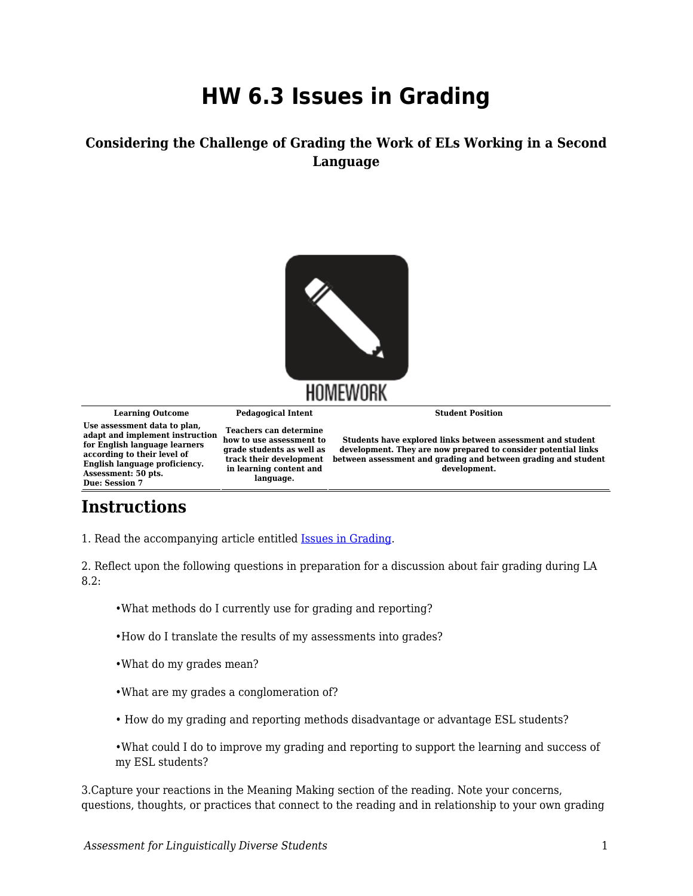## **HW 6.3 Issues in Grading**

## **Considering the Challenge of Grading the Work of ELs Working in a Second Language**



## **Instructions**

1. Read the accompanying article entitled [Issues in Grading](https://byu.box.com/s/pk64mnpcibrlapaeodiw0m791wayqm4w).

2. Reflect upon the following questions in preparation for a discussion about fair grading during LA 8.2:

- •What methods do I currently use for grading and reporting?
- •How do I translate the results of my assessments into grades?
- •What do my grades mean?
- •What are my grades a conglomeration of?
- How do my grading and reporting methods disadvantage or advantage ESL students?

•What could I do to improve my grading and reporting to support the learning and success of my ESL students?

3.Capture your reactions in the Meaning Making section of the reading. Note your concerns, questions, thoughts, or practices that connect to the reading and in relationship to your own grading